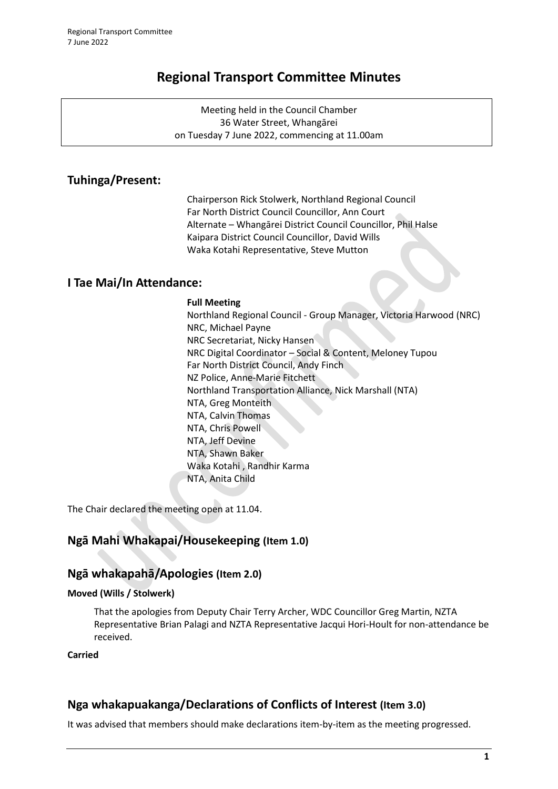# **Regional Transport Committee Minutes**

Meeting held in the Council Chamber 36 Water Street, Whangārei on Tuesday 7 June 2022, commencing at 11.00am

# **Tuhinga/Present:**

Chairperson Rick Stolwerk, Northland Regional Council Far North District Council Councillor, Ann Court Alternate – Whangārei District Council Councillor, Phil Halse Kaipara District Council Councillor, David Wills Waka Kotahi Representative, Steve Mutton

# **I Tae Mai/In Attendance:**

### **Full Meeting**

Northland Regional Council - Group Manager, Victoria Harwood (NRC) NRC, Michael Payne NRC Secretariat, Nicky Hansen NRC Digital Coordinator – Social & Content, Meloney Tupou Far North District Council, Andy Finch NZ Police, Anne-Marie Fitchett Northland Transportation Alliance, Nick Marshall (NTA) NTA, Greg Monteith NTA, Calvin Thomas NTA, Chris Powell NTA, Jeff Devine NTA, Shawn Baker Waka Kotahi , Randhir Karma NTA, Anita Child

The Chair declared the meeting open at 11.04.

# **Ngā Mahi Whakapai/Housekeeping (Item 1.0)**

# **Ngā whakapahā/Apologies (Item 2.0)**

### **Moved (Wills / Stolwerk)**

That the apologies from Deputy Chair Terry Archer, WDC Councillor Greg Martin, NZTA Representative Brian Palagi and NZTA Representative Jacqui Hori-Hoult for non-attendance be received.

## **Carried**

# **Nga whakapuakanga/Declarations of Conflicts of Interest (Item 3.0)**

It was advised that members should make declarations item-by-item as the meeting progressed.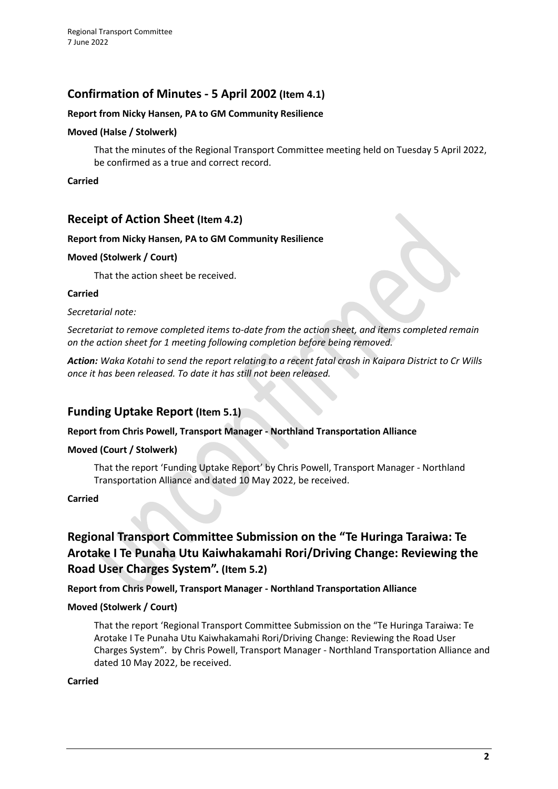# **Confirmation of Minutes - 5 April 2002 (Item 4.1)**

### **Report from Nicky Hansen, PA to GM Community Resilience**

### **Moved (Halse / Stolwerk)**

That the minutes of the Regional Transport Committee meeting held on Tuesday 5 April 2022, be confirmed as a true and correct record.

**Carried**

## **Receipt of Action Sheet (Item 4.2)**

### **Report from Nicky Hansen, PA to GM Community Resilience**

### **Moved (Stolwerk / Court)**

That the action sheet be received.

### **Carried**

*Secretarial note:*

*Secretariat to remove completed items to-date from the action sheet, and items completed remain on the action sheet for 1 meeting following completion before being removed.*

*Action: Waka Kotahi to send the report relating to a recent fatal crash in Kaipara District to Cr Wills once it has been released. To date it has still not been released.*

## **Funding Uptake Report (Item 5.1)**

### **Report from Chris Powell, Transport Manager - Northland Transportation Alliance**

### **Moved (Court / Stolwerk)**

That the report 'Funding Uptake Report' by Chris Powell, Transport Manager - Northland Transportation Alliance and dated 10 May 2022, be received.

### **Carried**

# **Regional Transport Committee Submission on the "Te Huringa Taraiwa: Te Arotake I Te Punaha Utu Kaiwhakamahi Rori/Driving Change: Reviewing the Road User Charges System". (Item 5.2)**

**Report from Chris Powell, Transport Manager - Northland Transportation Alliance**

### **Moved (Stolwerk / Court)**

That the report 'Regional Transport Committee Submission on the "Te Huringa Taraiwa: Te Arotake I Te Punaha Utu Kaiwhakamahi Rori/Driving Change: Reviewing the Road User Charges System". by Chris Powell, Transport Manager - Northland Transportation Alliance and dated 10 May 2022, be received.

### **Carried**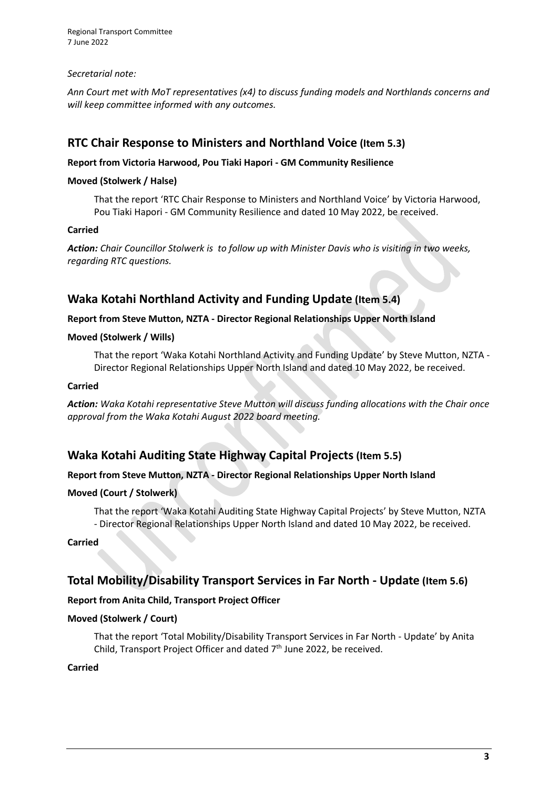Regional Transport Committee 7 June 2022

### *Secretarial note:*

*Ann Court met with MoT representatives (x4) to discuss funding models and Northlands concerns and will keep committee informed with any outcomes.*

# **RTC Chair Response to Ministers and Northland Voice (Item 5.3)**

### **Report from Victoria Harwood, Pou Tiaki Hapori - GM Community Resilience**

### **Moved (Stolwerk / Halse)**

That the report 'RTC Chair Response to Ministers and Northland Voice' by Victoria Harwood, Pou Tiaki Hapori - GM Community Resilience and dated 10 May 2022, be received.

### **Carried**

*Action: Chair Councillor Stolwerk is to follow up with Minister Davis who is visiting in two weeks, regarding RTC questions.*

# **Waka Kotahi Northland Activity and Funding Update (Item 5.4)**

### **Report from Steve Mutton, NZTA - Director Regional Relationships Upper North Island**

### **Moved (Stolwerk / Wills)**

That the report 'Waka Kotahi Northland Activity and Funding Update' by Steve Mutton, NZTA - Director Regional Relationships Upper North Island and dated 10 May 2022, be received.

### **Carried**

*Action: Waka Kotahi representative Steve Mutton will discuss funding allocations with the Chair once approval from the Waka Kotahi August 2022 board meeting.*

# **Waka Kotahi Auditing State Highway Capital Projects (Item 5.5)**

### **Report from Steve Mutton, NZTA - Director Regional Relationships Upper North Island**

### **Moved (Court / Stolwerk)**

That the report 'Waka Kotahi Auditing State Highway Capital Projects' by Steve Mutton, NZTA - Director Regional Relationships Upper North Island and dated 10 May 2022, be received.

### **Carried**

# **Total Mobility/Disability Transport Services in Far North - Update (Item 5.6)**

### **Report from Anita Child, Transport Project Officer**

### **Moved (Stolwerk / Court)**

That the report 'Total Mobility/Disability Transport Services in Far North - Update' by Anita Child, Transport Project Officer and dated 7<sup>th</sup> June 2022, be received.

### **Carried**